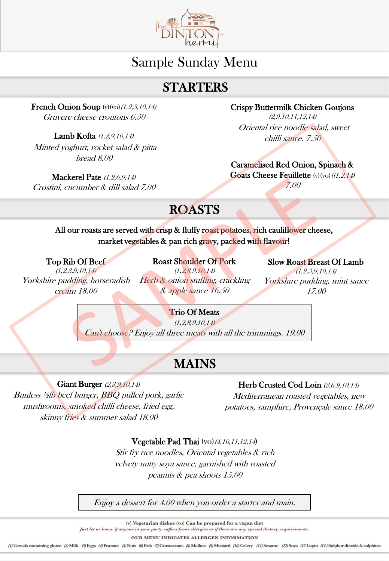

# Sample Sunday Menu

# **STARTERS**

French Onion Soup  $(v)(vo)(1,2,3,10,14)$ Gruyere cheese croutons 6.50

Lamb Kofta chilli sauce. 7.50 (1,2,9,10,14) Minted yoghurt, rocket salad & pitta bread 8.00

Mackerel Pate (1,2,6,9,14) Crostini, cucumber & dill salad 7.00 Crispy Buttermilk Chicken Goujons

 $(2,9,10,11,12,14)$ Oriental rice noodle salad, sweet

#### Caramelised Red Onion, Spinach &

**Goats Cheese Feuillette** (v)(vo)( $(1,2,14)$ 7.00

# ROASTS

## All our roasts are served with crisp & fluffy roast potatoes, rich cauliflower cheese, market vegetables & pan rich gravy, packed with flavour!

#### Top Rib Of Beef

(1,2,3,9,10,14) Yorkshire pudding, horseradish cream 18.00

Roast Shoulder Of Pork  $(1, 2, 3, 9, 10, 14)$ Herb & onion stuffing, crackling & apple sauce 16.50

Slow Roast Breast Of Lamb

(1,2,3,9,10,14) Yorkshire pudding, mint sauce 17.00

### Trio Of Meats

 $(1, 2, 3, 9, 10, 14)$ Can't choose? Enjoy all three meats with all the trimmings. 19.00

# MAINS

Giant Burger (2,3,9,10,14) Bunless ½lb beef burger, BBQ pulled pork, garlic mushrooms, smoked chilli cheese, fried egg, skinny fries & summer salad 18.00

## Herb Crusted Cod Loin (2,6,9,10,14)

Mediterranean roasted vegetables, new potatoes, samphire, Provençale sauce 18.00

#### Vegetable Pad Thai  $(vo)(4,10,11,12,14)$

Stir fry rice noodles, Oriental vegetables & rich velvety nutty soya sauce, garnished with roasted peanuts & pea shoots 15.00

Enjoy a dessert for 4.00 when you order a starter and main.

(v) Vegetarian dishes (vo) Can be prepared for a vegan diet

Just let us know if anyone in your party suffers from allergies or if there are any special dietary requirements.

OUR MENU INDICATES ALLERGEN INFORMATION

(I) Cereals containing gluten (2) Milk (3) Eggs (4) Peanuts (5) Nuts (6) Fish (7) Crustaceans (8) Mollusc (9) Mustard (10) Celery (11) Sesame (12) Soya (13 Lupin (14) Sulphur dioxide & sulphites